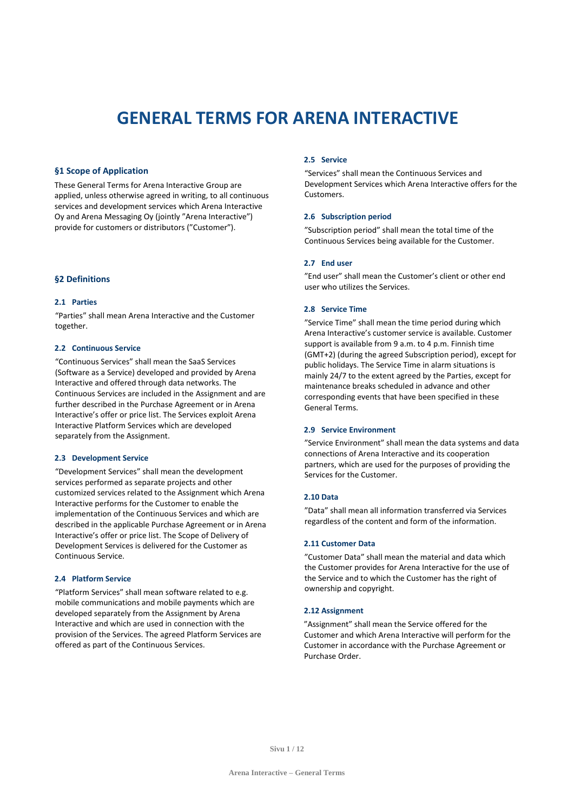# **GENERAL TERMS FOR ARENA INTERACTIVE**

## **§1 Scope of Application**

These General Terms for Arena Interactive Group are applied, unless otherwise agreed in writing, to all continuous services and development services which Arena Interactive Oy and Arena Messaging Oy (jointly "Arena Interactive") provide for customers or distributors ("Customer").

# **§2 Definitions**

# **2.1 Parties**

"Parties" shall mean Arena Interactive and the Customer together.

## **2.2 Continuous Service**

"Continuous Services" shall mean the SaaS Services (Software as a Service) developed and provided by Arena Interactive and offered through data networks. The Continuous Services are included in the Assignment and are further described in the Purchase Agreement or in Arena Interactive's offer or price list. The Services exploit Arena Interactive Platform Services which are developed separately from the Assignment.

#### **2.3 Development Service**

"Development Services" shall mean the development services performed as separate projects and other customized services related to the Assignment which Arena Interactive performs for the Customer to enable the implementation of the Continuous Services and which are described in the applicable Purchase Agreement or in Arena Interactive's offer or price list. The Scope of Delivery of Development Services is delivered for the Customer as Continuous Service.

# **2.4 Platform Service**

"Platform Services" shall mean software related to e.g. mobile communications and mobile payments which are developed separately from the Assignment by Arena Interactive and which are used in connection with the provision of the Services. The agreed Platform Services are offered as part of the Continuous Services.

## **2.5 Service**

"Services" shall mean the Continuous Services and Development Services which Arena Interactive offers for the Customers.

## **2.6 Subscription period**

"Subscription period" shall mean the total time of the Continuous Services being available for the Customer.

## **2.7 End user**

"End user" shall mean the Customer's client or other end user who utilizes the Services.

## **2.8 Service Time**

"Service Time" shall mean the time period during which Arena Interactive's customer service is available. Customer support is available from 9 a.m. to 4 p.m. Finnish time (GMT+2) (during the agreed Subscription period), except for public holidays. The Service Time in alarm situations is mainly 24/7 to the extent agreed by the Parties, except for maintenance breaks scheduled in advance and other corresponding events that have been specified in these General Terms.

#### **2.9 Service Environment**

"Service Environment" shall mean the data systems and data connections of Arena Interactive and its cooperation partners, which are used for the purposes of providing the Services for the Customer.

#### **2.10 Data**

"Data" shall mean all information transferred via Services regardless of the content and form of the information.

#### **2.11 Customer Data**

"Customer Data" shall mean the material and data which the Customer provides for Arena Interactive for the use of the Service and to which the Customer has the right of ownership and copyright.

## **2.12 Assignment**

"Assignment" shall mean the Service offered for the Customer and which Arena Interactive will perform for the Customer in accordance with the Purchase Agreement or Purchase Order.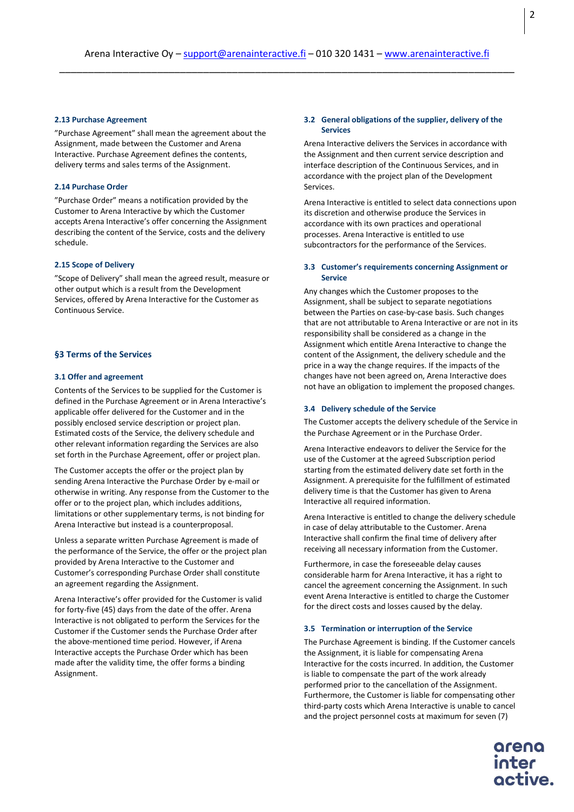## **2.13 Purchase Agreement**

"Purchase Agreement" shall mean the agreement about the Assignment, made between the Customer and Arena Interactive. Purchase Agreement defines the contents, delivery terms and sales terms of the Assignment.

# **2.14 Purchase Order**

"Purchase Order" means a notification provided by the Customer to Arena Interactive by which the Customer accepts Arena Interactive's offer concerning the Assignment describing the content of the Service, costs and the delivery schedule.

#### **2.15 Scope of Delivery**

"Scope of Delivery" shall mean the agreed result, measure or other output which is a result from the Development Services, offered by Arena Interactive for the Customer as Continuous Service.

# **§3 Terms of the Services**

## **3.1 Offer and agreement**

Contents of the Services to be supplied for the Customer is defined in the Purchase Agreement or in Arena Interactive's applicable offer delivered for the Customer and in the possibly enclosed service description or project plan. Estimated costs of the Service, the delivery schedule and other relevant information regarding the Services are also set forth in the Purchase Agreement, offer or project plan.

The Customer accepts the offer or the project plan by sending Arena Interactive the Purchase Order by e-mail or otherwise in writing. Any response from the Customer to the offer or to the project plan, which includes additions, limitations or other supplementary terms, is not binding for Arena Interactive but instead is a counterproposal.

Unless a separate written Purchase Agreement is made of the performance of the Service, the offer or the project plan provided by Arena Interactive to the Customer and Customer's corresponding Purchase Order shall constitute an agreement regarding the Assignment.

Arena Interactive's offer provided for the Customer is valid for forty-five (45) days from the date of the offer. Arena Interactive is not obligated to perform the Services for the Customer if the Customer sends the Purchase Order after the above-mentioned time period. However, if Arena Interactive accepts the Purchase Order which has been made after the validity time, the offer forms a binding Assignment.

## **3.2 General obligations of the supplier, delivery of the Services**

Arena Interactive delivers the Services in accordance with the Assignment and then current service description and interface description of the Continuous Services, and in accordance with the project plan of the Development Services.

Arena Interactive is entitled to select data connections upon its discretion and otherwise produce the Services in accordance with its own practices and operational processes. Arena Interactive is entitled to use subcontractors for the performance of the Services.

## **3.3 Customer's requirements concerning Assignment or Service**

Any changes which the Customer proposes to the Assignment, shall be subject to separate negotiations between the Parties on case-by-case basis. Such changes that are not attributable to Arena Interactive or are not in its responsibility shall be considered as a change in the Assignment which entitle Arena Interactive to change the content of the Assignment, the delivery schedule and the price in a way the change requires. If the impacts of the changes have not been agreed on, Arena Interactive does not have an obligation to implement the proposed changes.

#### **3.4 Delivery schedule of the Service**

The Customer accepts the delivery schedule of the Service in the Purchase Agreement or in the Purchase Order.

Arena Interactive endeavors to deliver the Service for the use of the Customer at the agreed Subscription period starting from the estimated delivery date set forth in the Assignment. A prerequisite for the fulfillment of estimated delivery time is that the Customer has given to Arena Interactive all required information.

Arena Interactive is entitled to change the delivery schedule in case of delay attributable to the Customer. Arena Interactive shall confirm the final time of delivery after receiving all necessary information from the Customer.

Furthermore, in case the foreseeable delay causes considerable harm for Arena Interactive, it has a right to cancel the agreement concerning the Assignment. In such event Arena Interactive is entitled to charge the Customer for the direct costs and losses caused by the delay.

#### **3.5 Termination or interruption of the Service**

The Purchase Agreement is binding. If the Customer cancels the Assignment, it is liable for compensating Arena Interactive for the costs incurred. In addition, the Customer is liable to compensate the part of the work already performed prior to the cancellation of the Assignment. Furthermore, the Customer is liable for compensating other third-party costs which Arena Interactive is unable to cancel and the project personnel costs at maximum for seven (7)

inter

2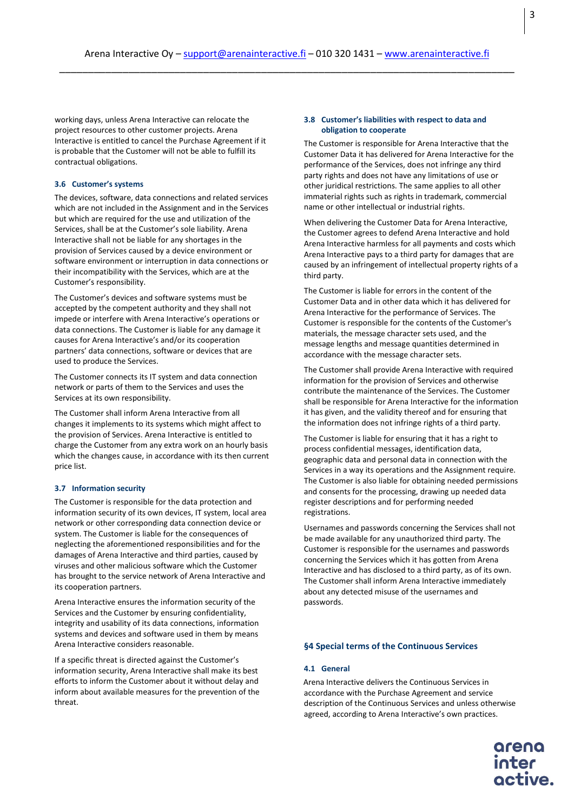working days, unless Arena Interactive can relocate the project resources to other customer projects. Arena Interactive is entitled to cancel the Purchase Agreement if it is probable that the Customer will not be able to fulfill its contractual obligations.

## **3.6 Customer's systems**

The devices, software, data connections and related services which are not included in the Assignment and in the Services but which are required for the use and utilization of the Services, shall be at the Customer's sole liability. Arena Interactive shall not be liable for any shortages in the provision of Services caused by a device environment or software environment or interruption in data connections or their incompatibility with the Services, which are at the Customer's responsibility.

The Customer's devices and software systems must be accepted by the competent authority and they shall not impede or interfere with Arena Interactive's operations or data connections. The Customer is liable for any damage it causes for Arena Interactive's and/or its cooperation partners' data connections, software or devices that are used to produce the Services.

The Customer connects its IT system and data connection network or parts of them to the Services and uses the Services at its own responsibility.

The Customer shall inform Arena Interactive from all changes it implements to its systems which might affect to the provision of Services. Arena Interactive is entitled to charge the Customer from any extra work on an hourly basis which the changes cause, in accordance with its then current price list.

## **3.7 Information security**

The Customer is responsible for the data protection and information security of its own devices, IT system, local area network or other corresponding data connection device or system. The Customer is liable for the consequences of neglecting the aforementioned responsibilities and for the damages of Arena Interactive and third parties, caused by viruses and other malicious software which the Customer has brought to the service network of Arena Interactive and its cooperation partners.

Arena Interactive ensures the information security of the Services and the Customer by ensuring confidentiality, integrity and usability of its data connections, information systems and devices and software used in them by means Arena Interactive considers reasonable.

If a specific threat is directed against the Customer's information security, Arena Interactive shall make its best efforts to inform the Customer about it without delay and inform about available measures for the prevention of the threat.

## **3.8 Customer's liabilities with respect to data and obligation to cooperate**

The Customer is responsible for Arena Interactive that the Customer Data it has delivered for Arena Interactive for the performance of the Services, does not infringe any third party rights and does not have any limitations of use or other juridical restrictions. The same applies to all other immaterial rights such as rights in trademark, commercial name or other intellectual or industrial rights.

When delivering the Customer Data for Arena Interactive, the Customer agrees to defend Arena Interactive and hold Arena Interactive harmless for all payments and costs which Arena Interactive pays to a third party for damages that are caused by an infringement of intellectual property rights of a third party.

The Customer is liable for errors in the content of the Customer Data and in other data which it has delivered for Arena Interactive for the performance of Services. The Customer is responsible for the contents of the Customer's materials, the message character sets used, and the message lengths and message quantities determined in accordance with the message character sets.

The Customer shall provide Arena Interactive with required information for the provision of Services and otherwise contribute the maintenance of the Services. The Customer shall be responsible for Arena Interactive for the information it has given, and the validity thereof and for ensuring that the information does not infringe rights of a third party.

The Customer is liable for ensuring that it has a right to process confidential messages, identification data, geographic data and personal data in connection with the Services in a way its operations and the Assignment require. The Customer is also liable for obtaining needed permissions and consents for the processing, drawing up needed data register descriptions and for performing needed registrations.

Usernames and passwords concerning the Services shall not be made available for any unauthorized third party. The Customer is responsible for the usernames and passwords concerning the Services which it has gotten from Arena Interactive and has disclosed to a third party, as of its own. The Customer shall inform Arena Interactive immediately about any detected misuse of the usernames and passwords.

#### **§4 Special terms of the Continuous Services**

### **4.1 General**

Arena Interactive delivers the Continuous Services in accordance with the Purchase Agreement and service description of the Continuous Services and unless otherwise agreed, according to Arena Interactive's own practices.

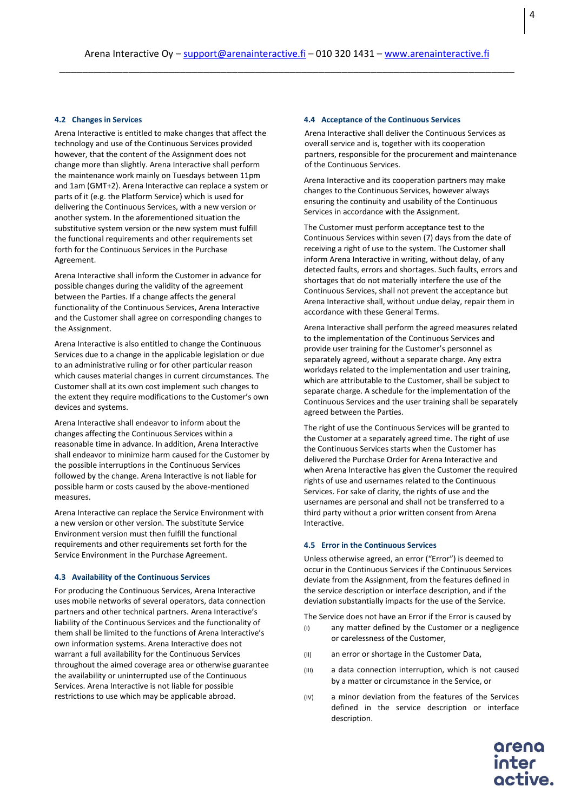## **4.2 Changes in Services**

Arena Interactive is entitled to make changes that affect the technology and use of the Continuous Services provided however, that the content of the Assignment does not change more than slightly. Arena Interactive shall perform the maintenance work mainly on Tuesdays between 11pm and 1am (GMT+2). Arena Interactive can replace a system or parts of it (e.g. the Platform Service) which is used for delivering the Continuous Services, with a new version or another system. In the aforementioned situation the substitutive system version or the new system must fulfill the functional requirements and other requirements set forth for the Continuous Services in the Purchase Agreement.

Arena Interactive shall inform the Customer in advance for possible changes during the validity of the agreement between the Parties. If a change affects the general functionality of the Continuous Services, Arena Interactive and the Customer shall agree on corresponding changes to the Assignment.

Arena Interactive is also entitled to change the Continuous Services due to a change in the applicable legislation or due to an administrative ruling or for other particular reason which causes material changes in current circumstances. The Customer shall at its own cost implement such changes to the extent they require modifications to the Customer's own devices and systems.

Arena Interactive shall endeavor to inform about the changes affecting the Continuous Services within a reasonable time in advance. In addition, Arena Interactive shall endeavor to minimize harm caused for the Customer by the possible interruptions in the Continuous Services followed by the change. Arena Interactive is not liable for possible harm or costs caused by the above-mentioned measures.

Arena Interactive can replace the Service Environment with a new version or other version. The substitute Service Environment version must then fulfill the functional requirements and other requirements set forth for the Service Environment in the Purchase Agreement.

## **4.3 Availability of the Continuous Services**

For producing the Continuous Services, Arena Interactive uses mobile networks of several operators, data connection partners and other technical partners. Arena Interactive's liability of the Continuous Services and the functionality of them shall be limited to the functions of Arena Interactive's own information systems. Arena Interactive does not warrant a full availability for the Continuous Services throughout the aimed coverage area or otherwise guarantee the availability or uninterrupted use of the Continuous Services. Arena Interactive is not liable for possible restrictions to use which may be applicable abroad.

#### **4.4 Acceptance of the Continuous Services**

Arena Interactive shall deliver the Continuous Services as overall service and is, together with its cooperation partners, responsible for the procurement and maintenance of the Continuous Services.

Arena Interactive and its cooperation partners may make changes to the Continuous Services, however always ensuring the continuity and usability of the Continuous Services in accordance with the Assignment.

The Customer must perform acceptance test to the Continuous Services within seven (7) days from the date of receiving a right of use to the system. The Customer shall inform Arena Interactive in writing, without delay, of any detected faults, errors and shortages. Such faults, errors and shortages that do not materially interfere the use of the Continuous Services, shall not prevent the acceptance but Arena Interactive shall, without undue delay, repair them in accordance with these General Terms.

Arena Interactive shall perform the agreed measures related to the implementation of the Continuous Services and provide user training for the Customer's personnel as separately agreed, without a separate charge. Any extra workdays related to the implementation and user training, which are attributable to the Customer, shall be subject to separate charge. A schedule for the implementation of the Continuous Services and the user training shall be separately agreed between the Parties.

The right of use the Continuous Services will be granted to the Customer at a separately agreed time. The right of use the Continuous Services starts when the Customer has delivered the Purchase Order for Arena Interactive and when Arena Interactive has given the Customer the required rights of use and usernames related to the Continuous Services. For sake of clarity, the rights of use and the usernames are personal and shall not be transferred to a third party without a prior written consent from Arena Interactive.

# **4.5 Error in the Continuous Services**

Unless otherwise agreed, an error ("Error") is deemed to occur in the Continuous Services if the Continuous Services deviate from the Assignment, from the features defined in the service description or interface description, and if the deviation substantially impacts for the use of the Service.

The Service does not have an Error if the Error is caused by

- (I) any matter defined by the Customer or a negligence or carelessness of the Customer,
- (II) an error or shortage in the Customer Data,
- (III) a data connection interruption, which is not caused by a matter or circumstance in the Service, or
- (IV) a minor deviation from the features of the Services defined in the service description or interface description.

inter octive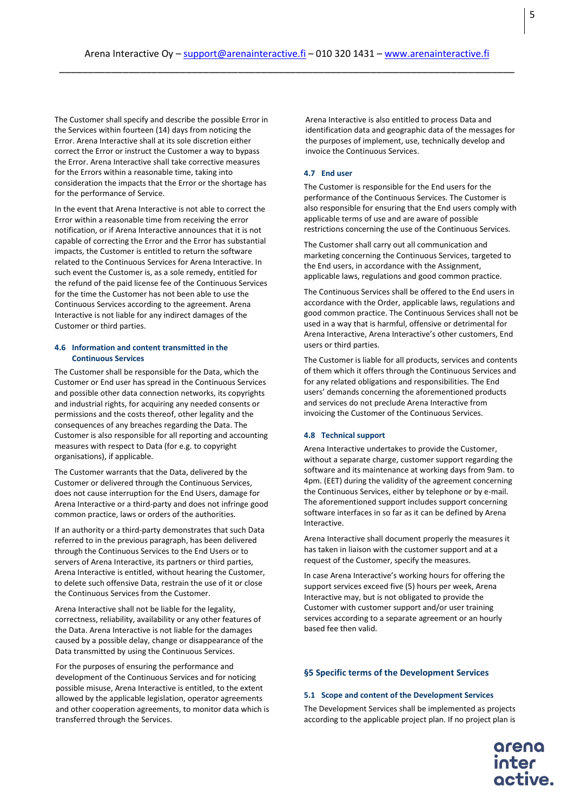The Customer shall specify and describe the possible Error in the Services within fourteen (14) days from noticing the Error. Arena Interactive shall at its sole discretion either correct the Error or instruct the Customer a way to bypass the Error. Arena Interactive shall take corrective measures for the Errors within a reasonable time, taking into consideration the impacts that the Error or the shortage has for the performance of Service.

In the event that Arena Interactive is not able to correct the Error within a reasonable time from receiving the error notification, or if Arena Interactive announces that it is not capable of correcting the Error and the Error has substantial impacts, the Customer is entitled to return the software related to the Continuous Services for Arena Interactive. In such event the Customer is, as a sole remedy, entitled for the refund of the paid license fee of the Continuous Services for the time the Customer has not been able to use the Continuous Services according to the agreement. Arena Interactive is not liable for any indirect damages of the Customer or third parties.

## **4.6 Information and content transmitted in the Continuous Services**

The Customer shall be responsible for the Data, which the Customer or End user has spread in the Continuous Services and possible other data connection networks, its copyrights and industrial rights, for acquiring any needed consents or permissions and the costs thereof, other legality and the consequences of any breaches regarding the Data. The Customer is also responsible for all reporting and accounting measures with respect to Data (for e.g. to copyright organisations), if applicable.

The Customer warrants that the Data, delivered by the Customer or delivered through the Continuous Services, does not cause interruption for the End Users, damage for Arena Interactive or a third-party and does not infringe good common practice, laws or orders of the authorities.

If an authority or a third-party demonstrates that such Data referred to in the previous paragraph, has been delivered through the Continuous Services to the End Users or to servers of Arena Interactive, its partners or third parties, Arena Interactive is entitled, without hearing the Customer, to delete such offensive Data, restrain the use of it or close the Continuous Services from the Customer.

Arena Interactive shall not be liable for the legality, correctness, reliability, availability or any other features of the Data. Arena Interactive is not liable for the damages caused by a possible delay, change or disappearance of the Data transmitted by using the Continuous Services.

For the purposes of ensuring the performance and development of the Continuous Services and for noticing possible misuse, Arena Interactive is entitled, to the extent allowed by the applicable legislation, operator agreements and other cooperation agreements, to monitor data which is transferred through the Services.

Arena Interactive is also entitled to process Data and identification data and geographic data of the messages for the purposes of implement, use, technically develop and invoice the Continuous Services.

## **4.7 End user**

The Customer is responsible for the End users for the performance of the Continuous Services. The Customer is also responsible for ensuring that the End users comply with applicable terms of use and are aware of possible restrictions concerning the use of the Continuous Services.

The Customer shall carry out all communication and marketing concerning the Continuous Services, targeted to the End users, in accordance with the Assignment, applicable laws, regulations and good common practice.

The Continuous Services shall be offered to the End users in accordance with the Order, applicable laws, regulations and good common practice. The Continuous Services shall not be used in a way that is harmful, offensive or detrimental for Arena Interactive, Arena Interactive's other customers, End users or third parties.

The Customer is liable for all products, services and contents of them which it offers through the Continuous Services and for any related obligations and responsibilities. The End users' demands concerning the aforementioned products and services do not preclude Arena Interactive from invoicing the Customer of the Continuous Services.

## **4.8 Technical support**

Arena Interactive undertakes to provide the Customer, without a separate charge, customer support regarding the software and its maintenance at working days from 9am. to 4pm. (EET) during the validity of the agreement concerning the Continuous Services, either by telephone or by e-mail. The aforementioned support includes support concerning software interfaces in so far as it can be defined by Arena Interactive.

Arena Interactive shall document properly the measures it has taken in liaison with the customer support and at a request of the Customer, specify the measures.

In case Arena Interactive's working hours for offering the support services exceed five (5) hours per week, Arena Interactive may, but is not obligated to provide the Customer with customer support and/or user training services according to a separate agreement or an hourly based fee then valid.

## **§5 Specific terms of the Development Services**

#### **5.1 Scope and content of the Development Services**

The Development Services shall be implemented as projects according to the applicable project plan. If no project plan is

inter

5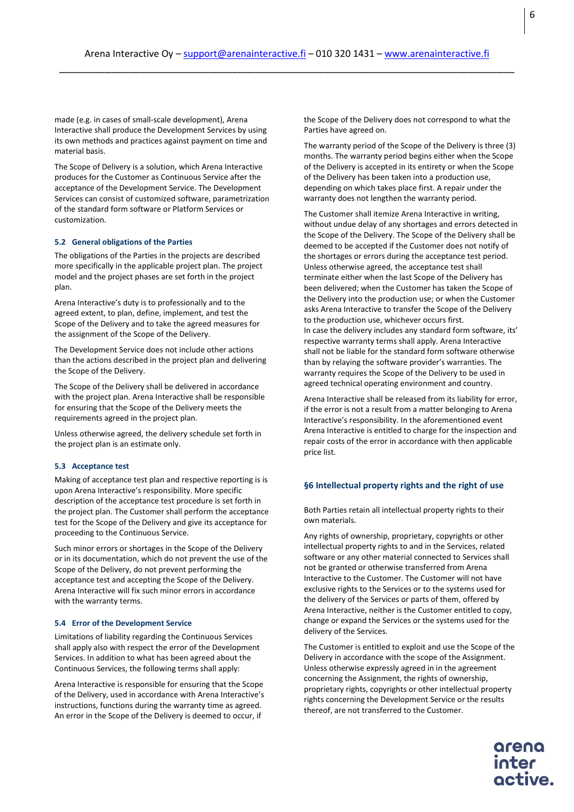made (e.g. in cases of small-scale development), Arena Interactive shall produce the Development Services by using its own methods and practices against payment on time and material basis.

The Scope of Delivery is a solution, which Arena Interactive produces for the Customer as Continuous Service after the acceptance of the Development Service. The Development Services can consist of customized software, parametrization of the standard form software or Platform Services or customization.

#### **5.2 General obligations of the Parties**

The obligations of the Parties in the projects are described more specifically in the applicable project plan. The project model and the project phases are set forth in the project plan.

Arena Interactive's duty is to professionally and to the agreed extent, to plan, define, implement, and test the Scope of the Delivery and to take the agreed measures for the assignment of the Scope of the Delivery.

The Development Service does not include other actions than the actions described in the project plan and delivering the Scope of the Delivery.

The Scope of the Delivery shall be delivered in accordance with the project plan. Arena Interactive shall be responsible for ensuring that the Scope of the Delivery meets the requirements agreed in the project plan.

Unless otherwise agreed, the delivery schedule set forth in the project plan is an estimate only.

#### **5.3 Acceptance test**

Making of acceptance test plan and respective reporting is is upon Arena Interactive's responsibility. More specific description of the acceptance test procedure is set forth in the project plan. The Customer shall perform the acceptance test for the Scope of the Delivery and give its acceptance for proceeding to the Continuous Service.

Such minor errors or shortages in the Scope of the Delivery or in its documentation, which do not prevent the use of the Scope of the Delivery, do not prevent performing the acceptance test and accepting the Scope of the Delivery. Arena Interactive will fix such minor errors in accordance with the warranty terms.

#### **5.4 Error of the Development Service**

Limitations of liability regarding the Continuous Services shall apply also with respect the error of the Development Services. In addition to what has been agreed about the Continuous Services, the following terms shall apply:

Arena Interactive is responsible for ensuring that the Scope of the Delivery, used in accordance with Arena Interactive's instructions, functions during the warranty time as agreed. An error in the Scope of the Delivery is deemed to occur, if

the Scope of the Delivery does not correspond to what the Parties have agreed on.

The warranty period of the Scope of the Delivery is three (3) months. The warranty period begins either when the Scope of the Delivery is accepted in its entirety or when the Scope of the Delivery has been taken into a production use, depending on which takes place first. A repair under the warranty does not lengthen the warranty period.

The Customer shall itemize Arena Interactive in writing, without undue delay of any shortages and errors detected in the Scope of the Delivery. The Scope of the Delivery shall be deemed to be accepted if the Customer does not notify of the shortages or errors during the acceptance test period. Unless otherwise agreed, the acceptance test shall terminate either when the last Scope of the Delivery has been delivered; when the Customer has taken the Scope of the Delivery into the production use; or when the Customer asks Arena Interactive to transfer the Scope of the Delivery to the production use, whichever occurs first. In case the delivery includes any standard form software, its' respective warranty terms shall apply. Arena Interactive shall not be liable for the standard form software otherwise than by relaying the software provider's warranties. The warranty requires the Scope of the Delivery to be used in agreed technical operating environment and country.

Arena Interactive shall be released from its liability for error, if the error is not a result from a matter belonging to Arena Interactive's responsibility. In the aforementioned event Arena Interactive is entitled to charge for the inspection and repair costs of the error in accordance with then applicable price list.

#### **§6 Intellectual property rights and the right of use**

Both Parties retain all intellectual property rights to their own materials.

Any rights of ownership, proprietary, copyrights or other intellectual property rights to and in the Services, related software or any other material connected to Services shall not be granted or otherwise transferred from Arena Interactive to the Customer. The Customer will not have exclusive rights to the Services or to the systems used for the delivery of the Services or parts of them, offered by Arena Interactive, neither is the Customer entitled to copy, change or expand the Services or the systems used for the delivery of the Services.

The Customer is entitled to exploit and use the Scope of the Delivery in accordance with the scope of the Assignment. Unless otherwise expressly agreed in in the agreement concerning the Assignment, the rights of ownership, proprietary rights, copyrights or other intellectual property rights concerning the Development Service or the results thereof, are not transferred to the Customer.

6

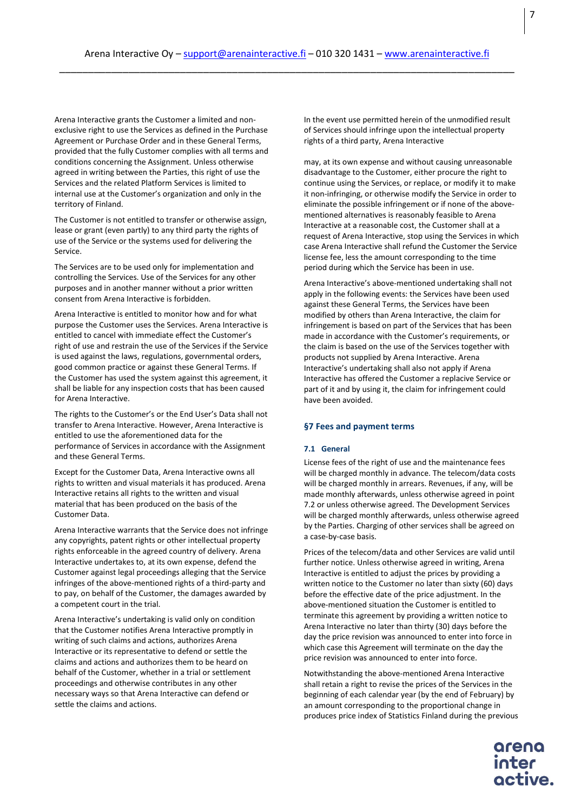Arena Interactive grants the Customer a limited and nonexclusive right to use the Services as defined in the Purchase Agreement or Purchase Order and in these General Terms, provided that the fully Customer complies with all terms and conditions concerning the Assignment. Unless otherwise agreed in writing between the Parties, this right of use the Services and the related Platform Services is limited to internal use at the Customer's organization and only in the territory of Finland.

The Customer is not entitled to transfer or otherwise assign, lease or grant (even partly) to any third party the rights of use of the Service or the systems used for delivering the Service.

The Services are to be used only for implementation and controlling the Services. Use of the Services for any other purposes and in another manner without a prior written consent from Arena Interactive is forbidden.

Arena Interactive is entitled to monitor how and for what purpose the Customer uses the Services. Arena Interactive is entitled to cancel with immediate effect the Customer's right of use and restrain the use of the Services if the Service is used against the laws, regulations, governmental orders, good common practice or against these General Terms. If the Customer has used the system against this agreement, it shall be liable for any inspection costs that has been caused for Arena Interactive.

The rights to the Customer's or the End User's Data shall not transfer to Arena Interactive. However, Arena Interactive is entitled to use the aforementioned data for the performance of Services in accordance with the Assignment and these General Terms.

Except for the Customer Data, Arena Interactive owns all rights to written and visual materials it has produced. Arena Interactive retains all rights to the written and visual material that has been produced on the basis of the Customer Data.

Arena Interactive warrants that the Service does not infringe any copyrights, patent rights or other intellectual property rights enforceable in the agreed country of delivery. Arena Interactive undertakes to, at its own expense, defend the Customer against legal proceedings alleging that the Service infringes of the above-mentioned rights of a third-party and to pay, on behalf of the Customer, the damages awarded by a competent court in the trial.

Arena Interactive's undertaking is valid only on condition that the Customer notifies Arena Interactive promptly in writing of such claims and actions, authorizes Arena Interactive or its representative to defend or settle the claims and actions and authorizes them to be heard on behalf of the Customer, whether in a trial or settlement proceedings and otherwise contributes in any other necessary ways so that Arena Interactive can defend or settle the claims and actions.

In the event use permitted herein of the unmodified result of Services should infringe upon the intellectual property rights of a third party, Arena Interactive

may, at its own expense and without causing unreasonable disadvantage to the Customer, either procure the right to continue using the Services, or replace, or modify it to make it non-infringing, or otherwise modify the Service in order to eliminate the possible infringement or if none of the abovementioned alternatives is reasonably feasible to Arena Interactive at a reasonable cost, the Customer shall at a request of Arena Interactive, stop using the Services in which case Arena Interactive shall refund the Customer the Service license fee, less the amount corresponding to the time period during which the Service has been in use.

Arena Interactive's above-mentioned undertaking shall not apply in the following events: the Services have been used against these General Terms, the Services have been modified by others than Arena Interactive, the claim for infringement is based on part of the Services that has been made in accordance with the Customer's requirements, or the claim is based on the use of the Services together with products not supplied by Arena Interactive. Arena Interactive's undertaking shall also not apply if Arena Interactive has offered the Customer a replacive Service or part of it and by using it, the claim for infringement could have been avoided.

# **§7 Fees and payment terms**

## **7.1 General**

License fees of the right of use and the maintenance fees will be charged monthly in advance. The telecom/data costs will be charged monthly in arrears. Revenues, if any, will be made monthly afterwards, unless otherwise agreed in point 7.2 or unless otherwise agreed. The Development Services will be charged monthly afterwards, unless otherwise agreed by the Parties. Charging of other services shall be agreed on a case-by-case basis.

Prices of the telecom/data and other Services are valid until further notice. Unless otherwise agreed in writing, Arena Interactive is entitled to adjust the prices by providing a written notice to the Customer no later than sixty (60) days before the effective date of the price adjustment. In the above-mentioned situation the Customer is entitled to terminate this agreement by providing a written notice to Arena Interactive no later than thirty (30) days before the day the price revision was announced to enter into force in which case this Agreement will terminate on the day the price revision was announced to enter into force.

Notwithstanding the above-mentioned Arena Interactive shall retain a right to revise the prices of the Services in the beginning of each calendar year (by the end of February) by an amount corresponding to the proportional change in produces price index of Statistics Finland during the previous

> inter octive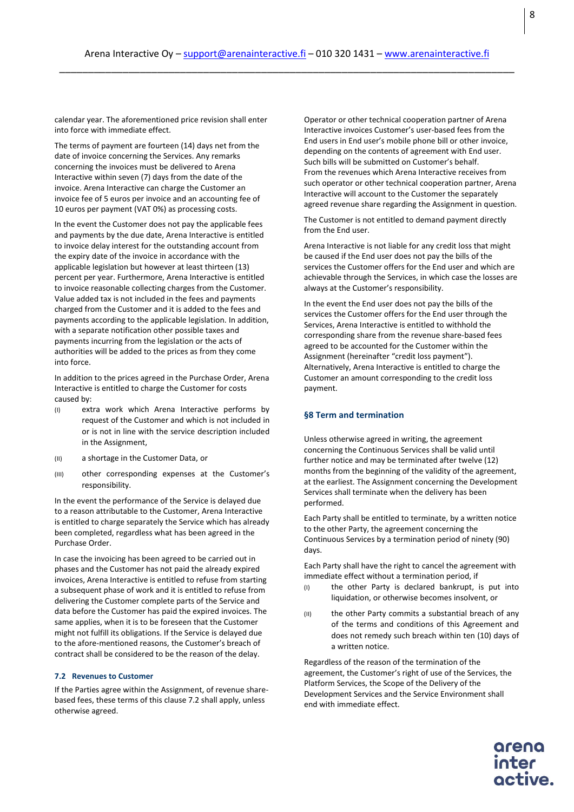calendar year. The aforementioned price revision shall enter into force with immediate effect.

The terms of payment are fourteen (14) days net from the date of invoice concerning the Services. Any remarks concerning the invoices must be delivered to Arena Interactive within seven (7) days from the date of the invoice. Arena Interactive can charge the Customer an invoice fee of 5 euros per invoice and an accounting fee of 10 euros per payment (VAT 0%) as processing costs.

In the event the Customer does not pay the applicable fees and payments by the due date, Arena Interactive is entitled to invoice delay interest for the outstanding account from the expiry date of the invoice in accordance with the applicable legislation but however at least thirteen (13) percent per year. Furthermore, Arena Interactive is entitled to invoice reasonable collecting charges from the Customer. Value added tax is not included in the fees and payments charged from the Customer and it is added to the fees and payments according to the applicable legislation. In addition, with a separate notification other possible taxes and payments incurring from the legislation or the acts of authorities will be added to the prices as from they come into force.

In addition to the prices agreed in the Purchase Order, Arena Interactive is entitled to charge the Customer for costs caused by:

- (I) extra work which Arena Interactive performs by request of the Customer and which is not included in or is not in line with the service description included in the Assignment,
- (II) a shortage in the Customer Data, or
- (III) other corresponding expenses at the Customer's responsibility.

In the event the performance of the Service is delayed due to a reason attributable to the Customer, Arena Interactive is entitled to charge separately the Service which has already been completed, regardless what has been agreed in the Purchase Order.

In case the invoicing has been agreed to be carried out in phases and the Customer has not paid the already expired invoices, Arena Interactive is entitled to refuse from starting a subsequent phase of work and it is entitled to refuse from delivering the Customer complete parts of the Service and data before the Customer has paid the expired invoices. The same applies, when it is to be foreseen that the Customer might not fulfill its obligations. If the Service is delayed due to the afore-mentioned reasons, the Customer's breach of contract shall be considered to be the reason of the delay.

#### **7.2 Revenues to Customer**

If the Parties agree within the Assignment, of revenue sharebased fees, these terms of this clause 7.2 shall apply, unless otherwise agreed.

Operator or other technical cooperation partner of Arena Interactive invoices Customer's user-based fees from the End users in End user's mobile phone bill or other invoice, depending on the contents of agreement with End user. Such bills will be submitted on Customer's behalf. From the revenues which Arena Interactive receives from such operator or other technical cooperation partner, Arena Interactive will account to the Customer the separately agreed revenue share regarding the Assignment in question.

The Customer is not entitled to demand payment directly from the End user.

Arena Interactive is not liable for any credit loss that might be caused if the End user does not pay the bills of the services the Customer offers for the End user and which are achievable through the Services, in which case the losses are always at the Customer's responsibility.

In the event the End user does not pay the bills of the services the Customer offers for the End user through the Services, Arena Interactive is entitled to withhold the corresponding share from the revenue share-based fees agreed to be accounted for the Customer within the Assignment (hereinafter "credit loss payment"). Alternatively, Arena Interactive is entitled to charge the Customer an amount corresponding to the credit loss payment.

## **§8 Term and termination**

Unless otherwise agreed in writing, the agreement concerning the Continuous Services shall be valid until further notice and may be terminated after twelve (12) months from the beginning of the validity of the agreement, at the earliest. The Assignment concerning the Development Services shall terminate when the delivery has been performed.

Each Party shall be entitled to terminate, by a written notice to the other Party, the agreement concerning the Continuous Services by a termination period of ninety (90) days.

Each Party shall have the right to cancel the agreement with immediate effect without a termination period, if

- (I) the other Party is declared bankrupt, is put into liquidation, or otherwise becomes insolvent, or
- (II) the other Party commits a substantial breach of any of the terms and conditions of this Agreement and does not remedy such breach within ten (10) days of a written notice.

Regardless of the reason of the termination of the agreement, the Customer's right of use of the Services, the Platform Services, the Scope of the Delivery of the Development Services and the Service Environment shall end with immediate effect.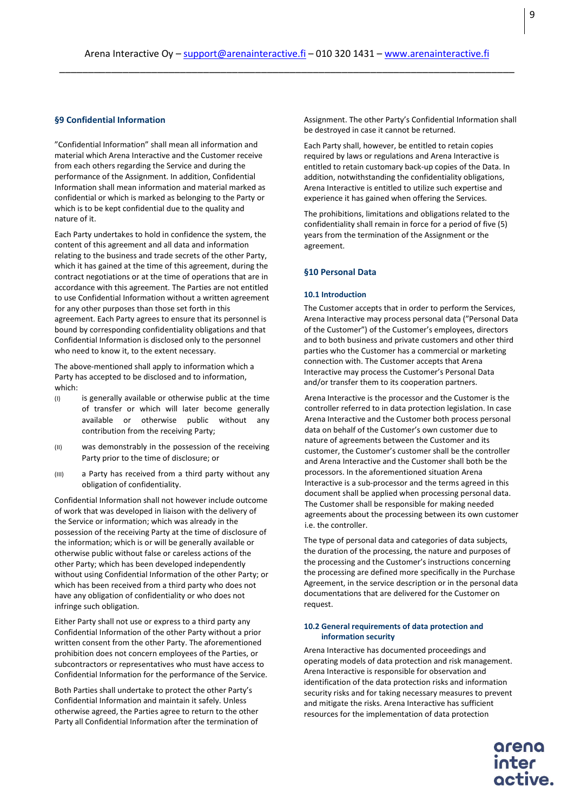## **§9 Confidential Information**

"Confidential Information" shall mean all information and material which Arena Interactive and the Customer receive from each others regarding the Service and during the performance of the Assignment. In addition, Confidential Information shall mean information and material marked as confidential or which is marked as belonging to the Party or which is to be kept confidential due to the quality and nature of it.

Each Party undertakes to hold in confidence the system, the content of this agreement and all data and information relating to the business and trade secrets of the other Party, which it has gained at the time of this agreement, during the contract negotiations or at the time of operations that are in accordance with this agreement. The Parties are not entitled to use Confidential Information without a written agreement for any other purposes than those set forth in this agreement. Each Party agrees to ensure that its personnel is bound by corresponding confidentiality obligations and that Confidential Information is disclosed only to the personnel who need to know it, to the extent necessary.

The above-mentioned shall apply to information which a Party has accepted to be disclosed and to information, which:

- (I) is generally available or otherwise public at the time of transfer or which will later become generally available or otherwise public without any contribution from the receiving Party;
- (II) was demonstrably in the possession of the receiving Party prior to the time of disclosure; or
- (III) a Party has received from a third party without any obligation of confidentiality.

Confidential Information shall not however include outcome of work that was developed in liaison with the delivery of the Service or information; which was already in the possession of the receiving Party at the time of disclosure of the information; which is or will be generally available or otherwise public without false or careless actions of the other Party; which has been developed independently without using Confidential Information of the other Party; or which has been received from a third party who does not have any obligation of confidentiality or who does not infringe such obligation.

Either Party shall not use or express to a third party any Confidential Information of the other Party without a prior written consent from the other Party. The aforementioned prohibition does not concern employees of the Parties, or subcontractors or representatives who must have access to Confidential Information for the performance of the Service.

Both Parties shall undertake to protect the other Party's Confidential Information and maintain it safely. Unless otherwise agreed, the Parties agree to return to the other Party all Confidential Information after the termination of Assignment. The other Party's Confidential Information shall be destroyed in case it cannot be returned.

Each Party shall, however, be entitled to retain copies required by laws or regulations and Arena Interactive is entitled to retain customary back-up copies of the Data. In addition, notwithstanding the confidentiality obligations, Arena Interactive is entitled to utilize such expertise and experience it has gained when offering the Services.

The prohibitions, limitations and obligations related to the confidentiality shall remain in force for a period of five (5) years from the termination of the Assignment or the agreement.

## **§10 Personal Data**

#### **10.1 Introduction**

The Customer accepts that in order to perform the Services, Arena Interactive may process personal data ("Personal Data of the Customer") of the Customer's employees, directors and to both business and private customers and other third parties who the Customer has a commercial or marketing connection with. The Customer accepts that Arena Interactive may process the Customer's Personal Data and/or transfer them to its cooperation partners.

Arena Interactive is the processor and the Customer is the controller referred to in data protection legislation. In case Arena Interactive and the Customer both process personal data on behalf of the Customer's own customer due to nature of agreements between the Customer and its customer, the Customer's customer shall be the controller and Arena Interactive and the Customer shall both be the processors. In the aforementioned situation Arena Interactive is a sub-processor and the terms agreed in this document shall be applied when processing personal data. The Customer shall be responsible for making needed agreements about the processing between its own customer i.e. the controller.

The type of personal data and categories of data subjects, the duration of the processing, the nature and purposes of the processing and the Customer's instructions concerning the processing are defined more specifically in the Purchase Agreement, in the service description or in the personal data documentations that are delivered for the Customer on request.

# **10.2 General requirements of data protection and information security**

Arena Interactive has documented proceedings and operating models of data protection and risk management. Arena Interactive is responsible for observation and identification of the data protection risks and information security risks and for taking necessary measures to prevent and mitigate the risks. Arena Interactive has sufficient resources for the implementation of data protection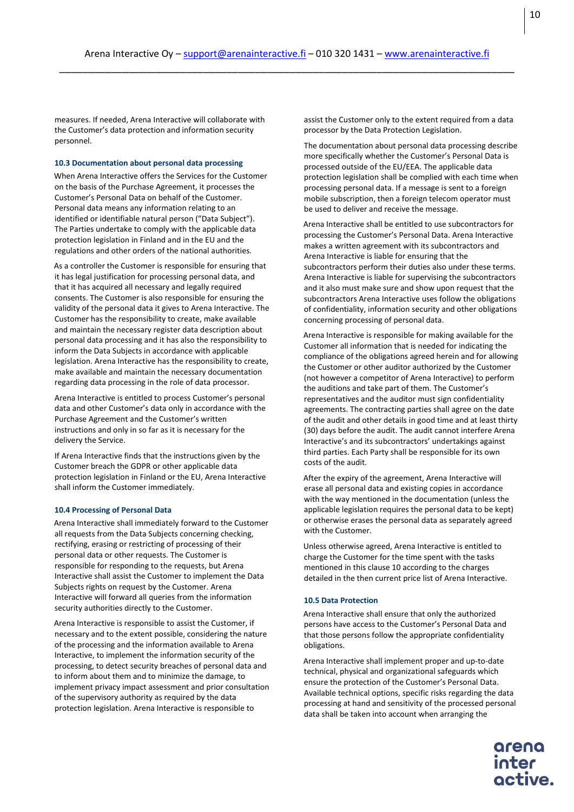measures. If needed, Arena Interactive will collaborate with the Customer's data protection and information security personnel.

## **10.3 Documentation about personal data processing**

When Arena Interactive offers the Services for the Customer on the basis of the Purchase Agreement, it processes the Customer's Personal Data on behalf of the Customer. Personal data means any information relating to an identified or identifiable natural person ("Data Subject"). The Parties undertake to comply with the applicable data protection legislation in Finland and in the EU and the regulations and other orders of the national authorities.

As a controller the Customer is responsible for ensuring that it has legal justification for processing personal data, and that it has acquired all necessary and legally required consents. The Customer is also responsible for ensuring the validity of the personal data it gives to Arena Interactive. The Customer has the responsibility to create, make available and maintain the necessary register data description about personal data processing and it has also the responsibility to inform the Data Subjects in accordance with applicable legislation. Arena Interactive has the responsibility to create, make available and maintain the necessary documentation regarding data processing in the role of data processor.

Arena Interactive is entitled to process Customer's personal data and other Customer's data only in accordance with the Purchase Agreement and the Customer's written instructions and only in so far as it is necessary for the delivery the Service.

If Arena Interactive finds that the instructions given by the Customer breach the GDPR or other applicable data protection legislation in Finland or the EU, Arena Interactive shall inform the Customer immediately.

#### **10.4 Processing of Personal Data**

Arena Interactive shall immediately forward to the Customer all requests from the Data Subjects concerning checking, rectifying, erasing or restricting of processing of their personal data or other requests. The Customer is responsible for responding to the requests, but Arena Interactive shall assist the Customer to implement the Data Subjects rights on request by the Customer. Arena Interactive will forward all queries from the information security authorities directly to the Customer.

Arena Interactive is responsible to assist the Customer, if necessary and to the extent possible, considering the nature of the processing and the information available to Arena Interactive, to implement the information security of the processing, to detect security breaches of personal data and to inform about them and to minimize the damage, to implement privacy impact assessment and prior consultation of the supervisory authority as required by the data protection legislation. Arena Interactive is responsible to

assist the Customer only to the extent required from a data processor by the Data Protection Legislation.

The documentation about personal data processing describe more specifically whether the Customer's Personal Data is processed outside of the EU/EEA. The applicable data protection legislation shall be complied with each time when processing personal data. If a message is sent to a foreign mobile subscription, then a foreign telecom operator must be used to deliver and receive the message.

Arena Interactive shall be entitled to use subcontractors for processing the Customer's Personal Data. Arena Interactive makes a written agreement with its subcontractors and Arena Interactive is liable for ensuring that the subcontractors perform their duties also under these terms. Arena Interactive is liable for supervising the subcontractors and it also must make sure and show upon request that the subcontractors Arena Interactive uses follow the obligations of confidentiality, information security and other obligations concerning processing of personal data.

Arena Interactive is responsible for making available for the Customer all information that is needed for indicating the compliance of the obligations agreed herein and for allowing the Customer or other auditor authorized by the Customer (not however a competitor of Arena Interactive) to perform the auditions and take part of them. The Customer's representatives and the auditor must sign confidentiality agreements. The contracting parties shall agree on the date of the audit and other details in good time and at least thirty (30) days before the audit. The audit cannot interfere Arena Interactive's and its subcontractors' undertakings against third parties. Each Party shall be responsible for its own costs of the audit.

After the expiry of the agreement, Arena Interactive will erase all personal data and existing copies in accordance with the way mentioned in the documentation (unless the applicable legislation requires the personal data to be kept) or otherwise erases the personal data as separately agreed with the Customer.

Unless otherwise agreed, Arena Interactive is entitled to charge the Customer for the time spent with the tasks mentioned in this clause 10 according to the charges detailed in the then current price list of Arena Interactive.

#### **10.5 Data Protection**

Arena Interactive shall ensure that only the authorized persons have access to the Customer's Personal Data and that those persons follow the appropriate confidentiality obligations.

Arena Interactive shall implement proper and up-to-date technical, physical and organizational safeguards which ensure the protection of the Customer's Personal Data. Available technical options, specific risks regarding the data processing at hand and sensitivity of the processed personal data shall be taken into account when arranging the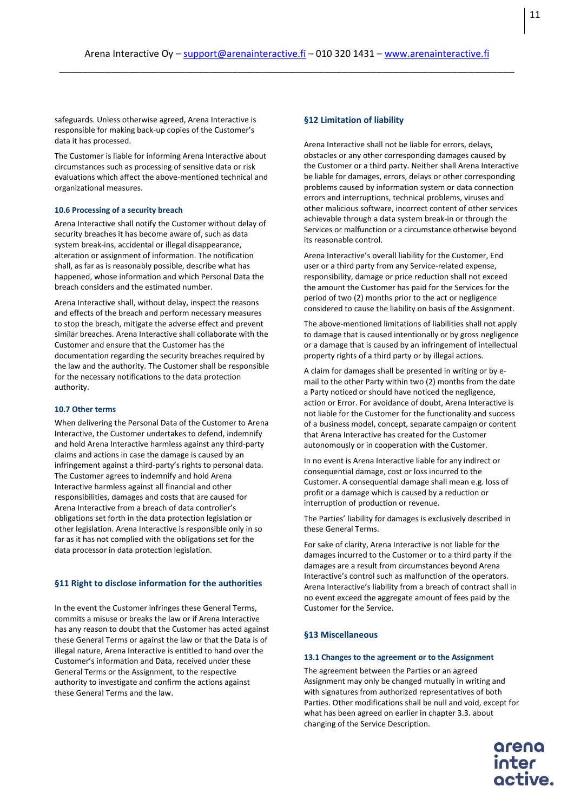safeguards. Unless otherwise agreed, Arena Interactive is responsible for making back-up copies of the Customer's data it has processed.

The Customer is liable for informing Arena Interactive about circumstances such as processing of sensitive data or risk evaluations which affect the above-mentioned technical and organizational measures.

## **10.6 Processing of a security breach**

Arena Interactive shall notify the Customer without delay of security breaches it has become aware of, such as data system break-ins, accidental or illegal disappearance, alteration or assignment of information. The notification shall, as far as is reasonably possible, describe what has happened, whose information and which Personal Data the breach considers and the estimated number.

Arena Interactive shall, without delay, inspect the reasons and effects of the breach and perform necessary measures to stop the breach, mitigate the adverse effect and prevent similar breaches. Arena Interactive shall collaborate with the Customer and ensure that the Customer has the documentation regarding the security breaches required by the law and the authority. The Customer shall be responsible for the necessary notifications to the data protection authority.

## **10.7 Other terms**

When delivering the Personal Data of the Customer to Arena Interactive, the Customer undertakes to defend, indemnify and hold Arena Interactive harmless against any third-party claims and actions in case the damage is caused by an infringement against a third-party's rights to personal data. The Customer agrees to indemnify and hold Arena Interactive harmless against all financial and other responsibilities, damages and costs that are caused for Arena Interactive from a breach of data controller's obligations set forth in the data protection legislation or other legislation. Arena Interactive is responsible only in so far as it has not complied with the obligations set for the data processor in data protection legislation.

## **§11 Right to disclose information for the authorities**

In the event the Customer infringes these General Terms, commits a misuse or breaks the law or if Arena Interactive has any reason to doubt that the Customer has acted against these General Terms or against the law or that the Data is of illegal nature, Arena Interactive is entitled to hand over the Customer's information and Data, received under these General Terms or the Assignment, to the respective authority to investigate and confirm the actions against these General Terms and the law.

# **§12 Limitation of liability**

Arena Interactive shall not be liable for errors, delays, obstacles or any other corresponding damages caused by the Customer or a third party. Neither shall Arena Interactive be liable for damages, errors, delays or other corresponding problems caused by information system or data connection errors and interruptions, technical problems, viruses and other malicious software, incorrect content of other services achievable through a data system break-in or through the Services or malfunction or a circumstance otherwise beyond its reasonable control.

Arena Interactive's overall liability for the Customer, End user or a third party from any Service-related expense, responsibility, damage or price reduction shall not exceed the amount the Customer has paid for the Services for the period of two (2) months prior to the act or negligence considered to cause the liability on basis of the Assignment.

The above-mentioned limitations of liabilities shall not apply to damage that is caused intentionally or by gross negligence or a damage that is caused by an infringement of intellectual property rights of a third party or by illegal actions.

A claim for damages shall be presented in writing or by email to the other Party within two (2) months from the date a Party noticed or should have noticed the negligence, action or Error. For avoidance of doubt, Arena Interactive is not liable for the Customer for the functionality and success of a business model, concept, separate campaign or content that Arena Interactive has created for the Customer autonomously or in cooperation with the Customer.

In no event is Arena Interactive liable for any indirect or consequential damage, cost or loss incurred to the Customer. A consequential damage shall mean e.g. loss of profit or a damage which is caused by a reduction or interruption of production or revenue.

The Parties' liability for damages is exclusively described in these General Terms.

For sake of clarity, Arena Interactive is not liable for the damages incurred to the Customer or to a third party if the damages are a result from circumstances beyond Arena Interactive's control such as malfunction of the operators. Arena Interactive's liability from a breach of contract shall in no event exceed the aggregate amount of fees paid by the Customer for the Service.

## **§13 Miscellaneous**

#### **13.1 Changes to the agreement or to the Assignment**

The agreement between the Parties or an agreed Assignment may only be changed mutually in writing and with signatures from authorized representatives of both Parties. Other modifications shall be null and void, except for what has been agreed on earlier in chapter 3.3. about changing of the Service Description.